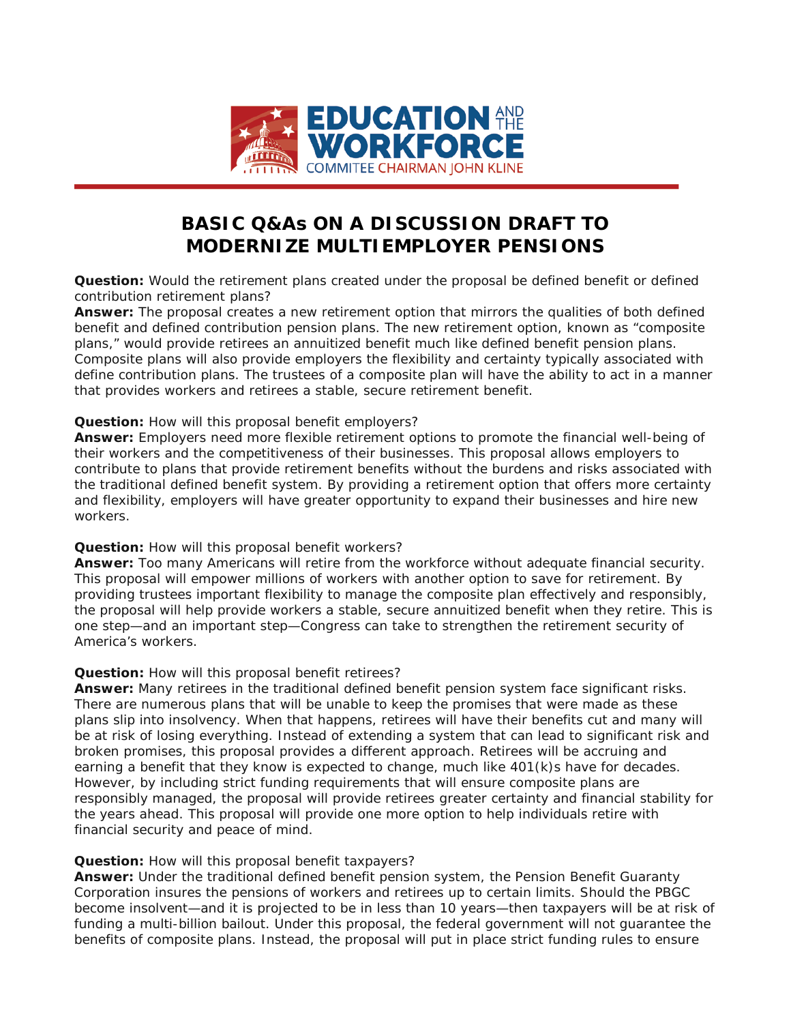

# **BASIC Q&As ON A DISCUSSION DRAFT TO MODERNIZE MULTIEMPLOYER PENSIONS**

**Question:** Would the retirement plans created under the proposal be defined benefit or defined contribution retirement plans?

*Answer:* The proposal creates a new retirement option that mirrors the qualities of both defined benefit and defined contribution pension plans. The new retirement option, known as "composite plans," would provide retirees an annuitized benefit much like defined benefit pension plans. Composite plans will also provide employers the flexibility and certainty typically associated with define contribution plans. The trustees of a composite plan will have the ability to act in a manner that provides workers and retirees a stable, secure retirement benefit.

## **Question:** How will this proposal benefit employers?

*Answer:* Employers need more flexible retirement options to promote the financial well-being of their workers and the competitiveness of their businesses. This proposal allows employers to contribute to plans that provide retirement benefits without the burdens and risks associated with the traditional defined benefit system. By providing a retirement option that offers more certainty and flexibility, employers will have greater opportunity to expand their businesses and hire new workers.

## *Question:* How will this proposal benefit workers?

*Answer:* Too many Americans will retire from the workforce without adequate financial security. This proposal will empower millions of workers with another option to save for retirement. By providing trustees important flexibility to manage the composite plan effectively and responsibly, the proposal will help provide workers a stable, secure annuitized benefit when they retire. This is one step—and an important step—Congress can take to strengthen the retirement security of America's workers.

### **Question:** How will this proposal benefit retirees?

**Answer:** Many retirees in the traditional defined benefit pension system face significant risks. There are numerous plans that will be unable to keep the promises that were made as these plans slip into insolvency. When that happens, retirees will have their benefits cut and many will be at risk of losing everything. Instead of extending a system that can lead to significant risk and broken promises, this proposal provides a different approach. Retirees will be accruing and earning a benefit that they know is expected to change, much like 401(k)s have for decades. However, by including strict funding requirements that will ensure composite plans are responsibly managed, the proposal will provide retirees greater certainty and financial stability for the years ahead. This proposal will provide one more option to help individuals retire with financial security and peace of mind.

### **Question:** How will this proposal benefit taxpayers?

Answer: Under the traditional defined benefit pension system, the Pension Benefit Guaranty Corporation insures the pensions of workers and retirees up to certain limits. Should the PBGC become insolvent—and it is projected to be in less than 10 years—then taxpayers will be at risk of funding a multi-billion bailout. Under this proposal, the federal government will not guarantee the benefits of composite plans. Instead, the proposal will put in place strict funding rules to ensure